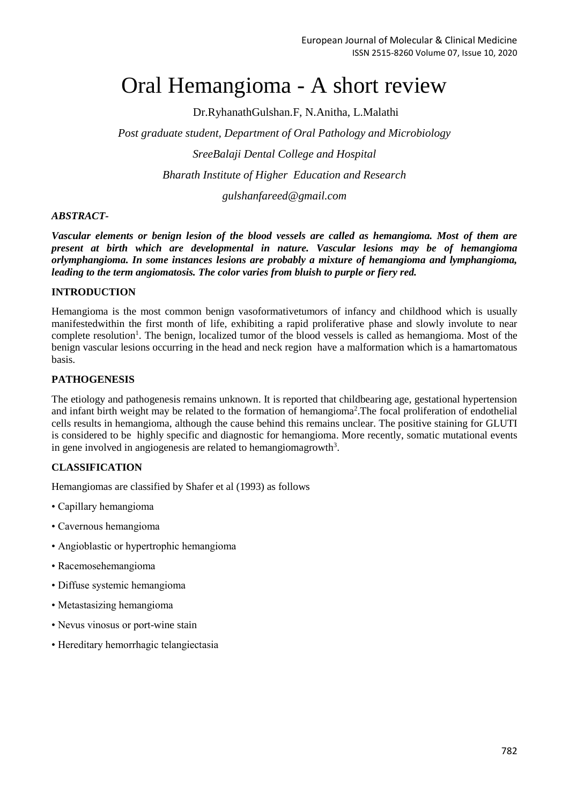# Oral Hemangioma - A short review

Dr.RyhanathGulshan.F, N.Anitha, L.Malathi

*Post graduate student, Department of Oral Pathology and Microbiology SreeBalaji Dental College and Hospital Bharath Institute of Higher Education and Research*

*gulshanfareed@gmail.com*

# *ABSTRACT-*

*Vascular elements or benign lesion of the blood vessels are called as hemangioma. Most of them are present at birth which are developmental in nature. Vascular lesions may be of hemangioma orlymphangioma. In some instances lesions are probably a mixture of hemangioma and lymphangioma, leading to the term angiomatosis. The color varies from bluish to purple or fiery red.* 

## **INTRODUCTION**

Hemangioma is the most common benign vasoformativetumors of infancy and childhood which is usually manifestedwithin the first month of life, exhibiting a rapid proliferative phase and slowly involute to near complete resolution<sup>1</sup>. The benign, localized tumor of the blood vessels is called as hemangioma. Most of the benign vascular lesions occurring in the head and neck region have a malformation which is a hamartomatous basis.

## **PATHOGENESIS**

The etiology and pathogenesis remains unknown. It is reported that childbearing age, gestational hypertension and infant birth weight may be related to the formation of hemangioma<sup>2</sup>. The focal proliferation of endothelial cells results in hemangioma, although the cause behind this remains unclear. The positive staining for GLUTI is considered to be highly specific and diagnostic for hemangioma. More recently, somatic mutational events in gene involved in angiogenesis are related to hemangiomagrowth<sup>3</sup>.

# **CLASSIFICATION**

Hemangiomas are classified by Shafer et al (1993) as follows

- Capillary hemangioma
- Cavernous hemangioma
- Angioblastic or hypertrophic hemangioma
- Racemosehemangioma
- Diffuse systemic hemangioma
- Metastasizing hemangioma
- Nevus vinosus or port-wine stain
- Hereditary hemorrhagic telangiectasia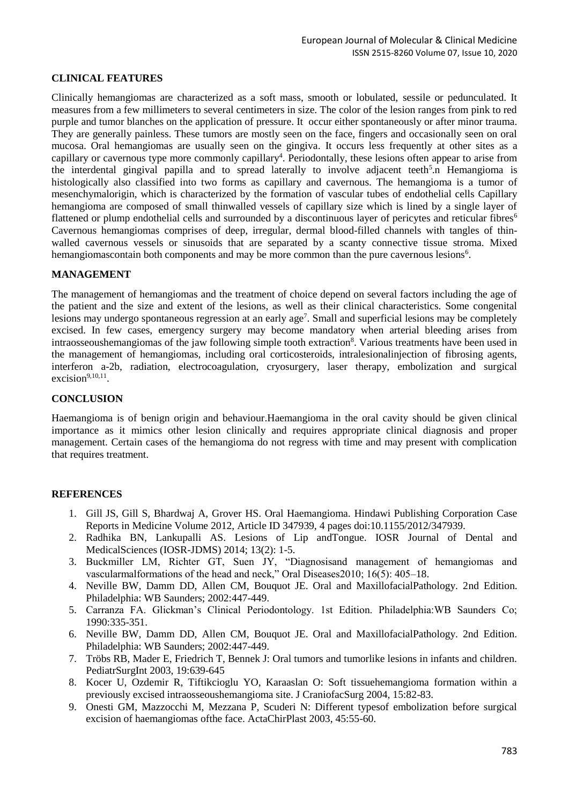## **CLINICAL FEATURES**

Clinically hemangiomas are characterized as a soft mass, smooth or lobulated, sessile or pedunculated. It measures from a few millimeters to several centimeters in size. The color of the lesion ranges from pink to red purple and tumor blanches on the application of pressure. It occur either spontaneously or after minor trauma. They are generally painless. These tumors are mostly seen on the face, fingers and occasionally seen on oral mucosa. Oral hemangiomas are usually seen on the gingiva. It occurs less frequently at other sites as a capillary or cavernous type more commonly capillary<sup>4</sup>. Periodontally, these lesions often appear to arise from the interdental gingival papilla and to spread laterally to involve adjacent teeth<sup>5</sup>.n Hemangioma is histologically also classified into two forms as capillary and cavernous. The hemangioma is a tumor of mesenchymalorigin, which is characterized by the formation of vascular tubes of endothelial cells Capillary hemangioma are composed of small thinwalled vessels of capillary size which is lined by a single layer of flattened or plump endothelial cells and surrounded by a discontinuous layer of pericytes and reticular fibres<sup>6</sup> Cavernous hemangiomas comprises of deep, irregular, dermal blood-filled channels with tangles of thinwalled cavernous vessels or sinusoids that are separated by a scanty connective tissue stroma. Mixed hemangiomascontain both components and may be more common than the pure cavernous lesions<sup>6</sup>.

#### **MANAGEMENT**

The management of hemangiomas and the treatment of choice depend on several factors including the age of the patient and the size and extent of the lesions, as well as their clinical characteristics. Some congenital lesions may undergo spontaneous regression at an early age<sup>7</sup>. Small and superficial lesions may be completely excised. In few cases, emergency surgery may become mandatory when arterial bleeding arises from intraosseoushemangiomas of the jaw following simple tooth extraction<sup>8</sup>. Various treatments have been used in the management of hemangiomas, including oral corticosteroids, intralesionalinjection of fibrosing agents, interferon a-2b, radiation, electrocoagulation, cryosurgery, laser therapy, embolization and surgical  $excision<sup>9,10,11</sup>$ .

#### **CONCLUSION**

Haemangioma is of benign origin and behaviour.Haemangioma in the oral cavity should be given clinical importance as it mimics other lesion clinically and requires appropriate clinical diagnosis and proper management. Certain cases of the hemangioma do not regress with time and may present with complication that requires treatment.

#### **REFERENCES**

- 1. Gill JS, Gill S, Bhardwaj A, Grover HS. Oral Haemangioma. Hindawi Publishing Corporation Case Reports in Medicine Volume 2012, Article ID 347939, 4 pages doi:10.1155/2012/347939.
- 2. Radhika BN, Lankupalli AS. Lesions of Lip andTongue. IOSR Journal of Dental and MedicalSciences (IOSR-JDMS) 2014; 13(2): 1-5.
- 3. Buckmiller LM, Richter GT, Suen JY, "Diagnosisand management of hemangiomas and vascularmalformations of the head and neck," Oral Diseases2010; 16(5): 405–18.
- 4. Neville BW, Damm DD, Allen CM, Bouquot JE. Oral and MaxillofacialPathology. 2nd Edition. Philadelphia: WB Saunders; 2002:447-449.
- 5. Carranza FA. Glickman's Clinical Periodontology. 1st Edition. Philadelphia:WB Saunders Co; 1990:335-351.
- 6. Neville BW, Damm DD, Allen CM, Bouquot JE. Oral and MaxillofacialPathology. 2nd Edition. Philadelphia: WB Saunders; 2002:447-449.
- 7. Tröbs RB, Mader E, Friedrich T, Bennek J: Oral tumors and tumorlike lesions in infants and children. PediatrSurgInt 2003, 19:639-645
- 8. Kocer U, Ozdemir R, Tiftikcioglu YO, Karaaslan O: Soft tissuehemangioma formation within a previously excised intraosseoushemangioma site. J CraniofacSurg 2004, 15:82-83.
- 9. Onesti GM, Mazzocchi M, Mezzana P, Scuderi N: Different typesof embolization before surgical excision of haemangiomas ofthe face. ActaChirPlast 2003, 45:55-60.